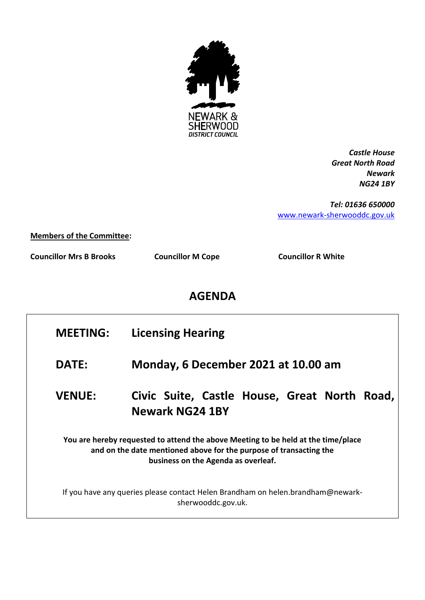

*Castle House Great North Road Newark NG24 1BY*

*Tel: 01636 650000* [www.newark-sherwooddc.gov.uk](http://www.newark-sherwooddc.gov.uk/)

**Members of the Committee:**

**Councillor Mrs B Brooks Councillor M Cope Councillor R White**

## **AGENDA**

| <b>MEETING:</b>                                                                                                                                                                                | <b>Licensing Hearing</b>                                                  |  |
|------------------------------------------------------------------------------------------------------------------------------------------------------------------------------------------------|---------------------------------------------------------------------------|--|
| DATE:                                                                                                                                                                                          | Monday, 6 December 2021 at 10.00 am                                       |  |
| <b>VENUE:</b>                                                                                                                                                                                  | Civic Suite, Castle House, Great North<br>Road,<br><b>Newark NG24 1BY</b> |  |
| You are hereby requested to attend the above Meeting to be held at the time/place<br>and on the date mentioned above for the purpose of transacting the<br>business on the Agenda as overleaf. |                                                                           |  |
| If you have any queries please contact Helen Brandham on helen.brandham@newark-<br>sherwooddc.gov.uk.                                                                                          |                                                                           |  |